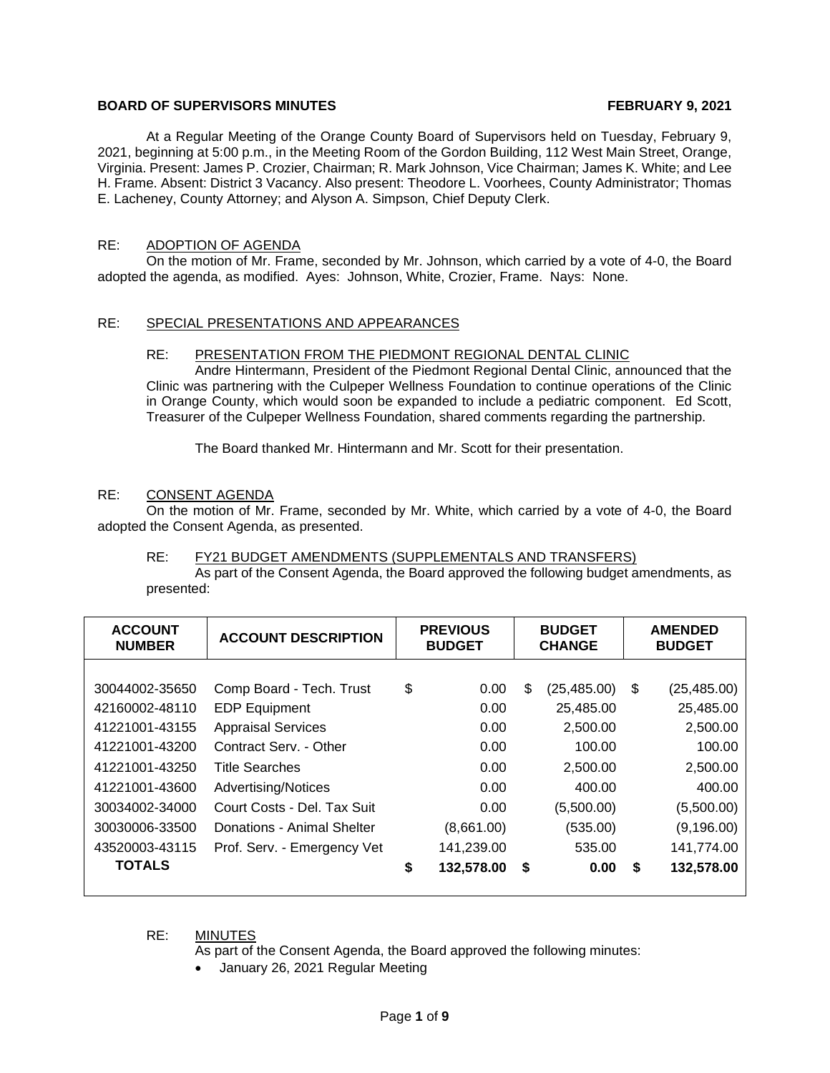# **BOARD OF SUPERVISORS MINUTES FEBRUARY 9, 2021**

At a Regular Meeting of the Orange County Board of Supervisors held on Tuesday, February 9, 2021, beginning at 5:00 p.m., in the Meeting Room of the Gordon Building, 112 West Main Street, Orange, Virginia. Present: James P. Crozier, Chairman; R. Mark Johnson, Vice Chairman; James K. White; and Lee H. Frame. Absent: District 3 Vacancy. Also present: Theodore L. Voorhees, County Administrator; Thomas E. Lacheney, County Attorney; and Alyson A. Simpson, Chief Deputy Clerk.

# RE: ADOPTION OF AGENDA

On the motion of Mr. Frame, seconded by Mr. Johnson, which carried by a vote of 4-0, the Board adopted the agenda, as modified. Ayes: Johnson, White, Crozier, Frame. Nays: None.

# RE: SPECIAL PRESENTATIONS AND APPEARANCES

#### RE: PRESENTATION FROM THE PIEDMONT REGIONAL DENTAL CLINIC

Andre Hintermann, President of the Piedmont Regional Dental Clinic, announced that the Clinic was partnering with the Culpeper Wellness Foundation to continue operations of the Clinic in Orange County, which would soon be expanded to include a pediatric component. Ed Scott, Treasurer of the Culpeper Wellness Foundation, shared comments regarding the partnership.

The Board thanked Mr. Hintermann and Mr. Scott for their presentation.

#### RE: CONSENT AGENDA

On the motion of Mr. Frame, seconded by Mr. White, which carried by a vote of 4-0, the Board adopted the Consent Agenda, as presented.

#### RE: FY21 BUDGET AMENDMENTS (SUPPLEMENTALS AND TRANSFERS) As part of the Consent Agenda, the Board approved the following budget amendments, as presented:

| <b>ACCOUNT</b><br><b>NUMBER</b> | <b>ACCOUNT DESCRIPTION</b>  | <b>PREVIOUS</b><br><b>BUDGET</b> |      | <b>BUDGET</b><br><b>CHANGE</b> |    | <b>AMENDED</b><br><b>BUDGET</b> |  |
|---------------------------------|-----------------------------|----------------------------------|------|--------------------------------|----|---------------------------------|--|
|                                 |                             |                                  |      |                                |    |                                 |  |
| 30044002-35650                  | Comp Board - Tech. Trust    | \$<br>0.00                       | \$   | (25, 485.00)                   | \$ | (25, 485.00)                    |  |
| 42160002-48110                  | <b>EDP Equipment</b>        | 0.00                             |      | 25,485.00                      |    | 25,485.00                       |  |
| 41221001-43155                  | <b>Appraisal Services</b>   | 0.00                             |      | 2,500.00                       |    | 2,500.00                        |  |
| 41221001-43200                  | Contract Serv. - Other      | 0.00                             |      | 100.00                         |    | 100.00                          |  |
| 41221001-43250                  | <b>Title Searches</b>       | 0.00                             |      | 2,500.00                       |    | 2,500.00                        |  |
| 41221001-43600                  | <b>Advertising/Notices</b>  | 0.00                             |      | 400.00                         |    | 400.00                          |  |
| 30034002-34000                  | Court Costs - Del. Tax Suit | 0.00                             |      | (5,500.00)                     |    | (5,500.00)                      |  |
| 30030006-33500                  | Donations - Animal Shelter  | (8,661.00)                       |      | (535.00)                       |    | (9, 196.00)                     |  |
| 43520003-43115                  | Prof. Serv. - Emergency Vet | 141,239.00                       |      | 535.00                         |    | 141,774.00                      |  |
| <b>TOTALS</b>                   |                             | \$<br>132,578.00                 | - \$ | 0.00                           | S  | 132,578.00                      |  |

RE: MINUTES

As part of the Consent Agenda, the Board approved the following minutes:

• January 26, 2021 Regular Meeting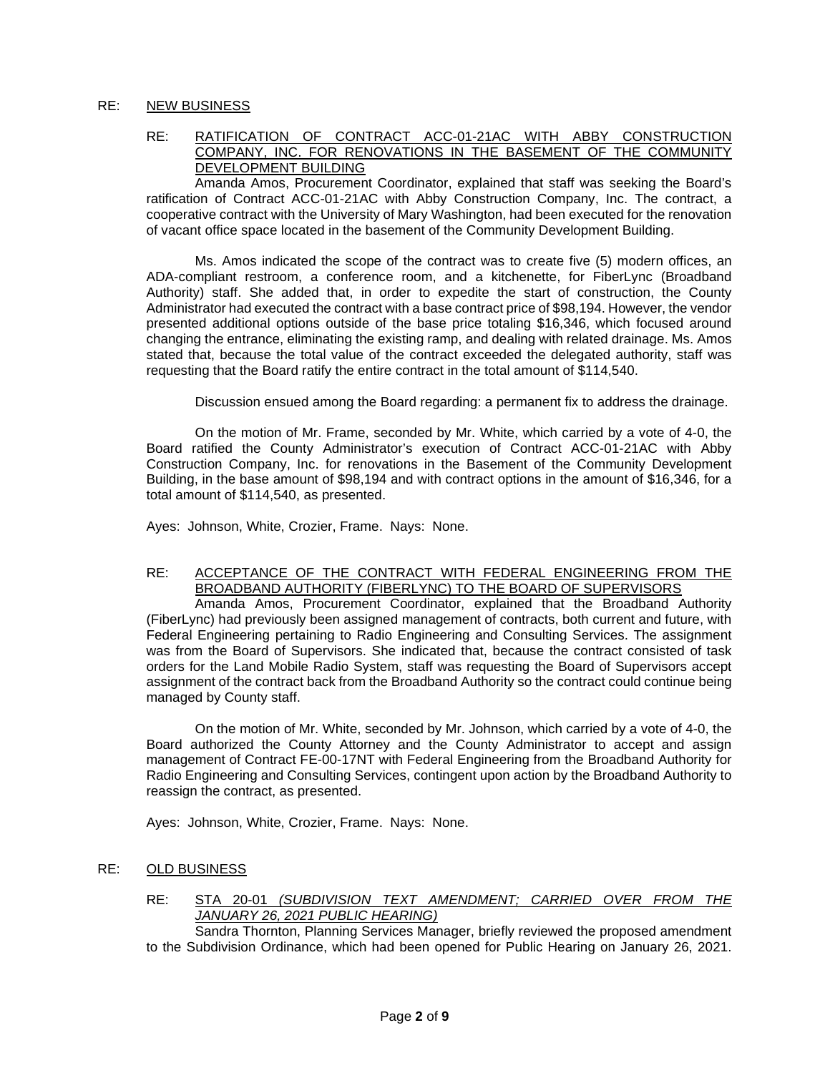## RE: NEW BUSINESS

RE: RATIFICATION OF CONTRACT ACC-01-21AC WITH ABBY CONSTRUCTION COMPANY, INC. FOR RENOVATIONS IN THE BASEMENT OF THE COMMUNITY DEVELOPMENT BUILDING

Amanda Amos, Procurement Coordinator, explained that staff was seeking the Board's ratification of Contract ACC-01-21AC with Abby Construction Company, Inc. The contract, a cooperative contract with the University of Mary Washington, had been executed for the renovation of vacant office space located in the basement of the Community Development Building.

Ms. Amos indicated the scope of the contract was to create five (5) modern offices, an ADA-compliant restroom, a conference room, and a kitchenette, for FiberLync (Broadband Authority) staff. She added that, in order to expedite the start of construction, the County Administrator had executed the contract with a base contract price of \$98,194. However, the vendor presented additional options outside of the base price totaling \$16,346, which focused around changing the entrance, eliminating the existing ramp, and dealing with related drainage. Ms. Amos stated that, because the total value of the contract exceeded the delegated authority, staff was requesting that the Board ratify the entire contract in the total amount of \$114,540.

Discussion ensued among the Board regarding: a permanent fix to address the drainage.

On the motion of Mr. Frame, seconded by Mr. White, which carried by a vote of 4-0, the Board ratified the County Administrator's execution of Contract ACC-01-21AC with Abby Construction Company, Inc. for renovations in the Basement of the Community Development Building, in the base amount of \$98,194 and with contract options in the amount of \$16,346, for a total amount of \$114,540, as presented.

Ayes: Johnson, White, Crozier, Frame. Nays: None.

# RE: ACCEPTANCE OF THE CONTRACT WITH FEDERAL ENGINEERING FROM THE BROADBAND AUTHORITY (FIBERLYNC) TO THE BOARD OF SUPERVISORS

Amanda Amos, Procurement Coordinator, explained that the Broadband Authority (FiberLync) had previously been assigned management of contracts, both current and future, with Federal Engineering pertaining to Radio Engineering and Consulting Services. The assignment was from the Board of Supervisors. She indicated that, because the contract consisted of task orders for the Land Mobile Radio System, staff was requesting the Board of Supervisors accept assignment of the contract back from the Broadband Authority so the contract could continue being managed by County staff.

On the motion of Mr. White, seconded by Mr. Johnson, which carried by a vote of 4-0, the Board authorized the County Attorney and the County Administrator to accept and assign management of Contract FE-00-17NT with Federal Engineering from the Broadband Authority for Radio Engineering and Consulting Services, contingent upon action by the Broadband Authority to reassign the contract, as presented.

Ayes: Johnson, White, Crozier, Frame. Nays: None.

- RE: OLD BUSINESS
	- RE: STA 20-01 *(SUBDIVISION TEXT AMENDMENT; CARRIED OVER FROM THE JANUARY 26, 2021 PUBLIC HEARING)*

Sandra Thornton, Planning Services Manager, briefly reviewed the proposed amendment to the Subdivision Ordinance, which had been opened for Public Hearing on January 26, 2021.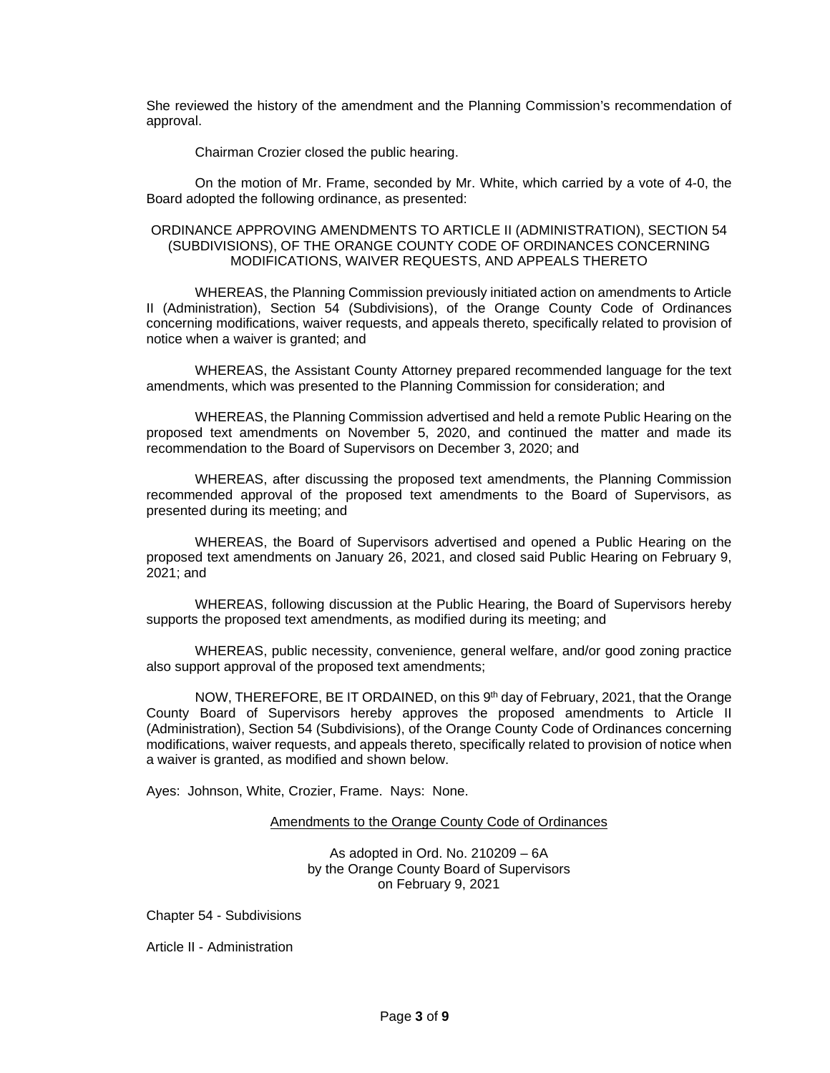She reviewed the history of the amendment and the Planning Commission's recommendation of approval.

Chairman Crozier closed the public hearing.

On the motion of Mr. Frame, seconded by Mr. White, which carried by a vote of 4-0, the Board adopted the following ordinance, as presented:

#### ORDINANCE APPROVING AMENDMENTS TO ARTICLE II (ADMINISTRATION), SECTION 54 (SUBDIVISIONS), OF THE ORANGE COUNTY CODE OF ORDINANCES CONCERNING MODIFICATIONS, WAIVER REQUESTS, AND APPEALS THERETO

WHEREAS, the Planning Commission previously initiated action on amendments to Article II (Administration), Section 54 (Subdivisions), of the Orange County Code of Ordinances concerning modifications, waiver requests, and appeals thereto, specifically related to provision of notice when a waiver is granted; and

WHEREAS, the Assistant County Attorney prepared recommended language for the text amendments, which was presented to the Planning Commission for consideration; and

WHEREAS, the Planning Commission advertised and held a remote Public Hearing on the proposed text amendments on November 5, 2020, and continued the matter and made its recommendation to the Board of Supervisors on December 3, 2020; and

WHEREAS, after discussing the proposed text amendments, the Planning Commission recommended approval of the proposed text amendments to the Board of Supervisors, as presented during its meeting; and

WHEREAS, the Board of Supervisors advertised and opened a Public Hearing on the proposed text amendments on January 26, 2021, and closed said Public Hearing on February 9, 2021; and

WHEREAS, following discussion at the Public Hearing, the Board of Supervisors hereby supports the proposed text amendments, as modified during its meeting; and

WHEREAS, public necessity, convenience, general welfare, and/or good zoning practice also support approval of the proposed text amendments;

NOW, THEREFORE, BE IT ORDAINED, on this 9<sup>th</sup> day of February, 2021, that the Orange County Board of Supervisors hereby approves the proposed amendments to Article II (Administration), Section 54 (Subdivisions), of the Orange County Code of Ordinances concerning modifications, waiver requests, and appeals thereto, specifically related to provision of notice when a waiver is granted, as modified and shown below.

Ayes: Johnson, White, Crozier, Frame. Nays: None.

#### Amendments to the Orange County Code of Ordinances

As adopted in Ord. No. 210209 – 6A by the Orange County Board of Supervisors on February 9, 2021

Chapter 54 - Subdivisions

Article II - Administration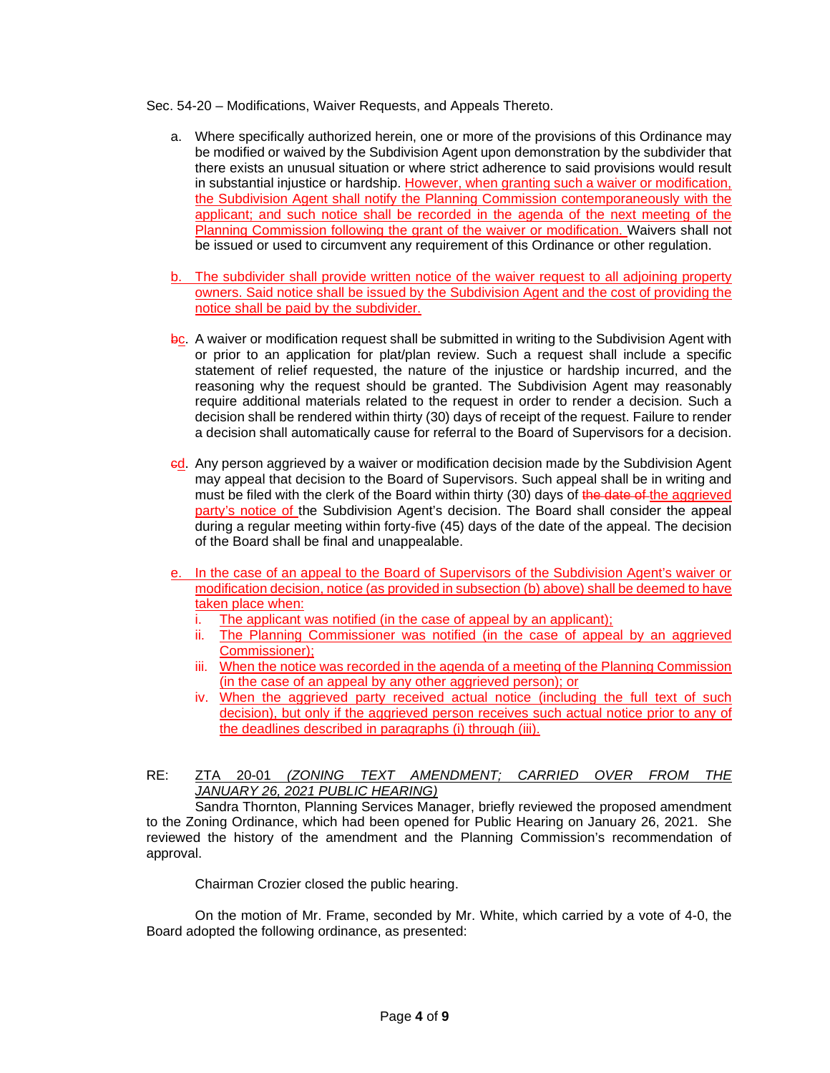Sec. 54-20 – Modifications, Waiver Requests, and Appeals Thereto.

- a. Where specifically authorized herein, one or more of the provisions of this Ordinance may be modified or waived by the Subdivision Agent upon demonstration by the subdivider that there exists an unusual situation or where strict adherence to said provisions would result in substantial injustice or hardship. However, when granting such a waiver or modification, the Subdivision Agent shall notify the Planning Commission contemporaneously with the applicant; and such notice shall be recorded in the agenda of the next meeting of the Planning Commission following the grant of the waiver or modification. Waivers shall not be issued or used to circumvent any requirement of this Ordinance or other regulation.
- b. The subdivider shall provide written notice of the waiver request to all adjoining property owners. Said notice shall be issued by the Subdivision Agent and the cost of providing the notice shall be paid by the subdivider.
- bc. A waiver or modification request shall be submitted in writing to the Subdivision Agent with or prior to an application for plat/plan review. Such a request shall include a specific statement of relief requested, the nature of the injustice or hardship incurred, and the reasoning why the request should be granted. The Subdivision Agent may reasonably require additional materials related to the request in order to render a decision. Such a decision shall be rendered within thirty (30) days of receipt of the request. Failure to render a decision shall automatically cause for referral to the Board of Supervisors for a decision.
- cd. Any person aggrieved by a waiver or modification decision made by the Subdivision Agent may appeal that decision to the Board of Supervisors. Such appeal shall be in writing and must be filed with the clerk of the Board within thirty (30) days of the date of the aggrieved party's notice of the Subdivision Agent's decision. The Board shall consider the appeal during a regular meeting within forty-five (45) days of the date of the appeal. The decision of the Board shall be final and unappealable.
- e. In the case of an appeal to the Board of Supervisors of the Subdivision Agent's waiver or modification decision, notice (as provided in subsection (b) above) shall be deemed to have taken place when:
	- i. The applicant was notified (in the case of appeal by an applicant);
	- ii. The Planning Commissioner was notified (in the case of appeal by an aggrieved Commissioner);
	- iii. When the notice was recorded in the agenda of a meeting of the Planning Commission (in the case of an appeal by any other aggrieved person); or
	- iv. When the aggrieved party received actual notice (including the full text of such decision), but only if the aggrieved person receives such actual notice prior to any of the deadlines described in paragraphs (i) through (iii).
- RE: ZTA 20-01 *(ZONING TEXT AMENDMENT; CARRIED OVER FROM THE JANUARY 26, 2021 PUBLIC HEARING)*

Sandra Thornton, Planning Services Manager, briefly reviewed the proposed amendment to the Zoning Ordinance, which had been opened for Public Hearing on January 26, 2021. She reviewed the history of the amendment and the Planning Commission's recommendation of approval.

Chairman Crozier closed the public hearing.

On the motion of Mr. Frame, seconded by Mr. White, which carried by a vote of 4-0, the Board adopted the following ordinance, as presented: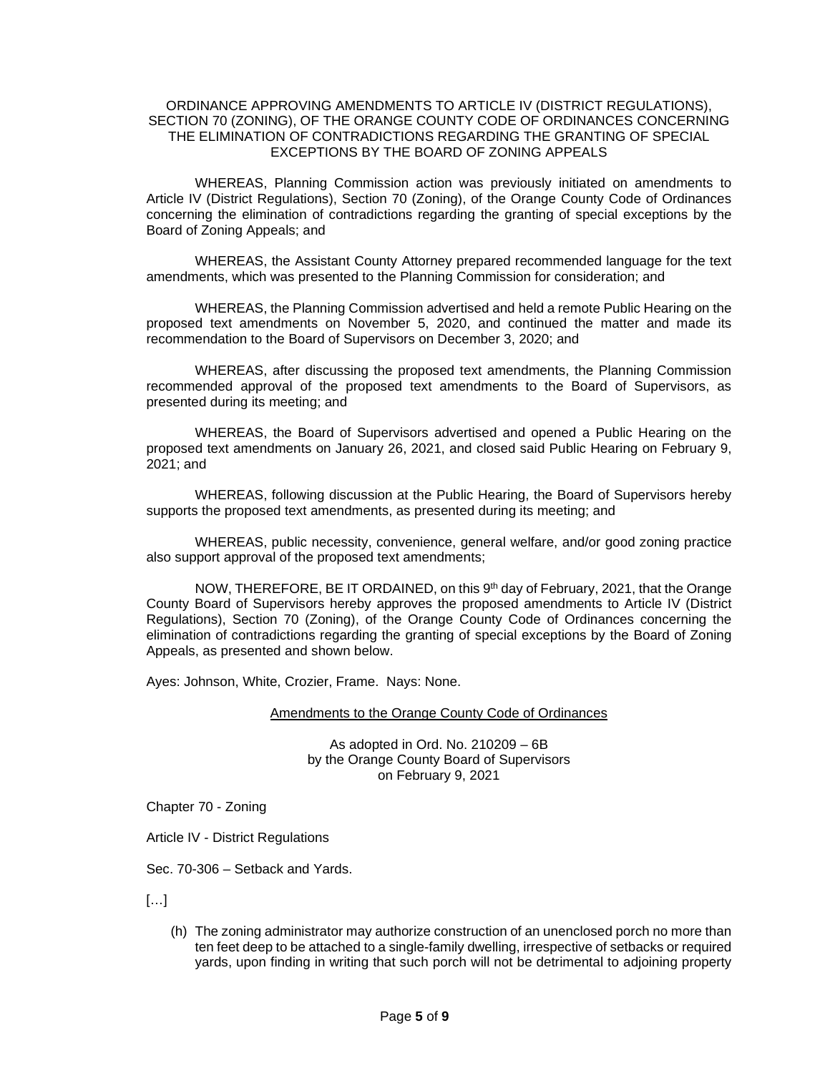#### ORDINANCE APPROVING AMENDMENTS TO ARTICLE IV (DISTRICT REGULATIONS), SECTION 70 (ZONING), OF THE ORANGE COUNTY CODE OF ORDINANCES CONCERNING THE ELIMINATION OF CONTRADICTIONS REGARDING THE GRANTING OF SPECIAL EXCEPTIONS BY THE BOARD OF ZONING APPEALS

WHEREAS, Planning Commission action was previously initiated on amendments to Article IV (District Regulations), Section 70 (Zoning), of the Orange County Code of Ordinances concerning the elimination of contradictions regarding the granting of special exceptions by the Board of Zoning Appeals; and

WHEREAS, the Assistant County Attorney prepared recommended language for the text amendments, which was presented to the Planning Commission for consideration; and

WHEREAS, the Planning Commission advertised and held a remote Public Hearing on the proposed text amendments on November 5, 2020, and continued the matter and made its recommendation to the Board of Supervisors on December 3, 2020; and

WHEREAS, after discussing the proposed text amendments, the Planning Commission recommended approval of the proposed text amendments to the Board of Supervisors, as presented during its meeting; and

WHEREAS, the Board of Supervisors advertised and opened a Public Hearing on the proposed text amendments on January 26, 2021, and closed said Public Hearing on February 9, 2021; and

WHEREAS, following discussion at the Public Hearing, the Board of Supervisors hereby supports the proposed text amendments, as presented during its meeting; and

WHEREAS, public necessity, convenience, general welfare, and/or good zoning practice also support approval of the proposed text amendments;

NOW, THEREFORE, BE IT ORDAINED, on this 9<sup>th</sup> day of February, 2021, that the Orange County Board of Supervisors hereby approves the proposed amendments to Article IV (District Regulations), Section 70 (Zoning), of the Orange County Code of Ordinances concerning the elimination of contradictions regarding the granting of special exceptions by the Board of Zoning Appeals, as presented and shown below.

Ayes: Johnson, White, Crozier, Frame. Nays: None.

#### Amendments to the Orange County Code of Ordinances

As adopted in Ord. No. 210209 – 6B by the Orange County Board of Supervisors on February 9, 2021

Chapter 70 - Zoning

Article IV - District Regulations

Sec. 70-306 – Setback and Yards.

 $[...]$ 

(h) The zoning administrator may authorize construction of an unenclosed porch no more than ten feet deep to be attached to a single-family dwelling, irrespective of setbacks or required yards, upon finding in writing that such porch will not be detrimental to adjoining property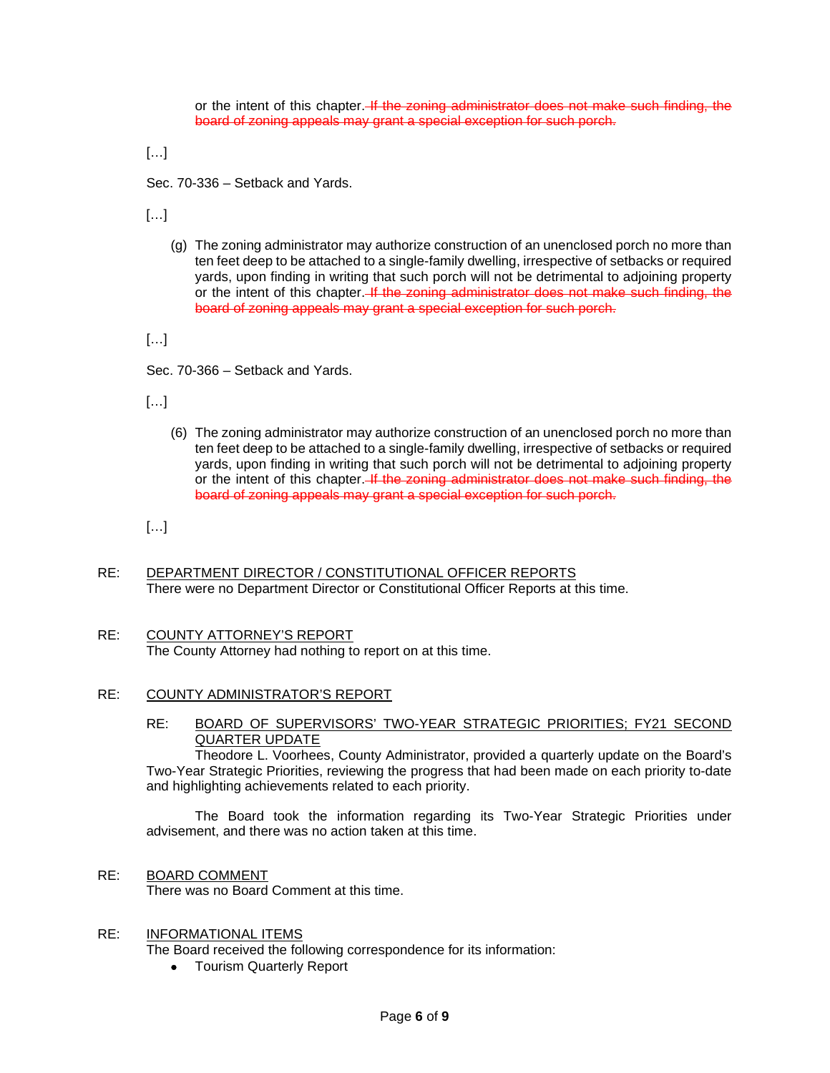or the intent of this chapter. If the zoning administrator does not make such finding, the board of zoning appeals may grant a special exception for such porch.

 $[...]$ 

Sec. 70-336 – Setback and Yards.

[…]

(g) The zoning administrator may authorize construction of an unenclosed porch no more than ten feet deep to be attached to a single-family dwelling, irrespective of setbacks or required yards, upon finding in writing that such porch will not be detrimental to adjoining property or the intent of this chapter. If the zoning administrator does not make such finding, the board of zoning appeals may grant a special exception for such porch.

 $[...]$ 

Sec. 70-366 – Setback and Yards.

[…]

(6) The zoning administrator may authorize construction of an unenclosed porch no more than ten feet deep to be attached to a single-family dwelling, irrespective of setbacks or required yards, upon finding in writing that such porch will not be detrimental to adjoining property or the intent of this chapter. If the zoning administrator does not make such finding, the board of zoning appeals may grant a special exception for such porch.

 $[...]$ 

- RE: DEPARTMENT DIRECTOR / CONSTITUTIONAL OFFICER REPORTS There were no Department Director or Constitutional Officer Reports at this time.
- RE: COUNTY ATTORNEY'S REPORT The County Attorney had nothing to report on at this time.

# RE: COUNTY ADMINISTRATOR'S REPORT

# RE: BOARD OF SUPERVISORS' TWO-YEAR STRATEGIC PRIORITIES; FY21 SECOND QUARTER UPDATE

Theodore L. Voorhees, County Administrator, provided a quarterly update on the Board's Two-Year Strategic Priorities, reviewing the progress that had been made on each priority to-date and highlighting achievements related to each priority.

The Board took the information regarding its Two-Year Strategic Priorities under advisement, and there was no action taken at this time.

RE: BOARD COMMENT

There was no Board Comment at this time.

## RE: INFORMATIONAL ITEMS

The Board received the following correspondence for its information:

• Tourism Quarterly Report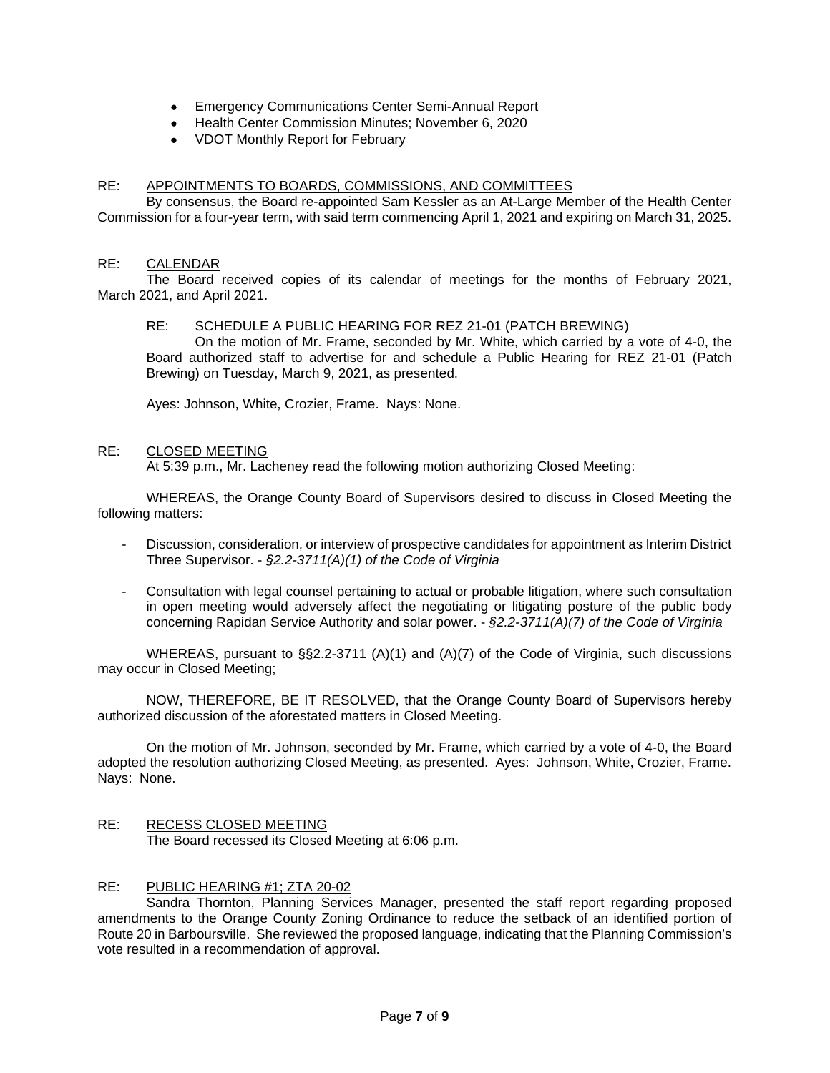- Emergency Communications Center Semi-Annual Report
- Health Center Commission Minutes; November 6, 2020
- VDOT Monthly Report for February

# RE: APPOINTMENTS TO BOARDS, COMMISSIONS, AND COMMITTEES

By consensus, the Board re-appointed Sam Kessler as an At-Large Member of the Health Center Commission for a four-year term, with said term commencing April 1, 2021 and expiring on March 31, 2025.

## RE: CALENDAR

The Board received copies of its calendar of meetings for the months of February 2021, March 2021, and April 2021.

# RE: SCHEDULE A PUBLIC HEARING FOR REZ 21-01 (PATCH BREWING)

On the motion of Mr. Frame, seconded by Mr. White, which carried by a vote of 4-0, the Board authorized staff to advertise for and schedule a Public Hearing for REZ 21-01 (Patch Brewing) on Tuesday, March 9, 2021, as presented.

Ayes: Johnson, White, Crozier, Frame. Nays: None.

#### RE: CLOSED MEETING

At 5:39 p.m., Mr. Lacheney read the following motion authorizing Closed Meeting:

WHEREAS, the Orange County Board of Supervisors desired to discuss in Closed Meeting the following matters:

- Discussion, consideration, or interview of prospective candidates for appointment as Interim District Three Supervisor. - *§2.2-3711(A)(1) of the Code of Virginia*
- Consultation with legal counsel pertaining to actual or probable litigation, where such consultation in open meeting would adversely affect the negotiating or litigating posture of the public body concerning Rapidan Service Authority and solar power. - *§2.2-3711(A)(7) of the Code of Virginia*

WHEREAS, pursuant to §§2.2-3711 (A)(1) and (A)(7) of the Code of Virginia, such discussions may occur in Closed Meeting;

NOW, THEREFORE, BE IT RESOLVED, that the Orange County Board of Supervisors hereby authorized discussion of the aforestated matters in Closed Meeting.

On the motion of Mr. Johnson, seconded by Mr. Frame, which carried by a vote of 4-0, the Board adopted the resolution authorizing Closed Meeting, as presented. Ayes: Johnson, White, Crozier, Frame. Nays: None.

RE: RECESS CLOSED MEETING The Board recessed its Closed Meeting at 6:06 p.m.

## RE: PUBLIC HEARING #1; ZTA 20-02

Sandra Thornton, Planning Services Manager, presented the staff report regarding proposed amendments to the Orange County Zoning Ordinance to reduce the setback of an identified portion of Route 20 in Barboursville. She reviewed the proposed language, indicating that the Planning Commission's vote resulted in a recommendation of approval.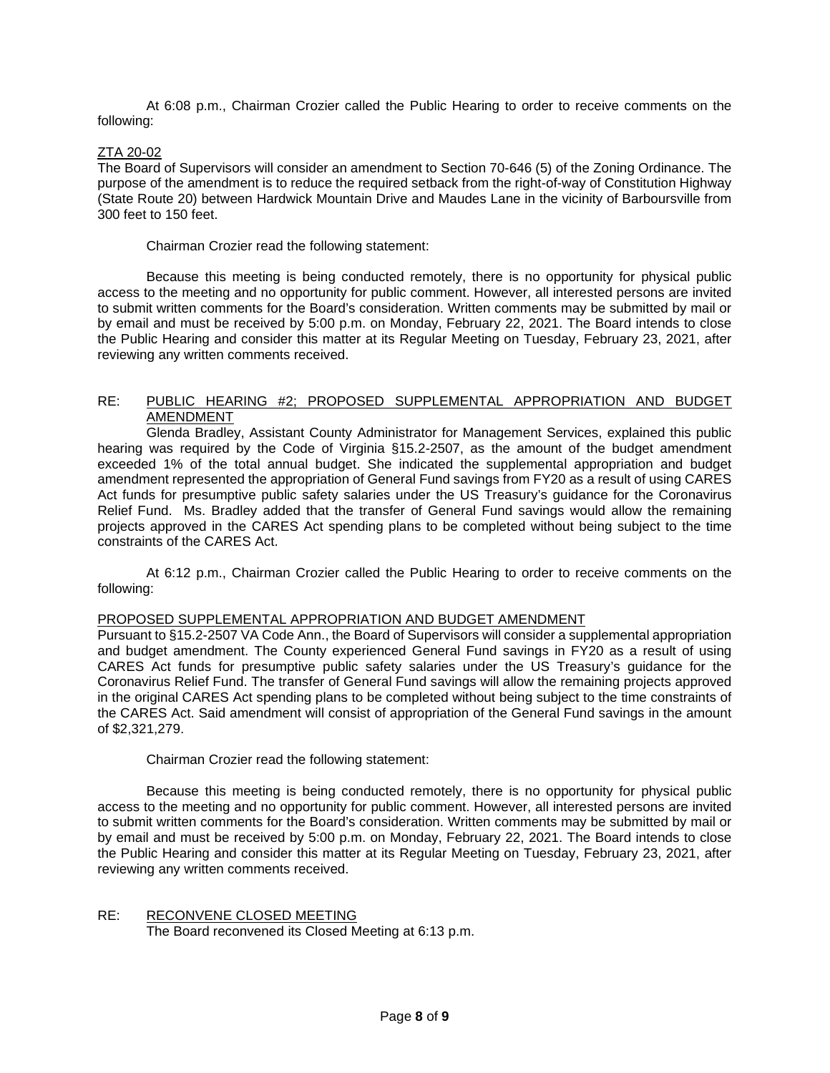At 6:08 p.m., Chairman Crozier called the Public Hearing to order to receive comments on the following:

# ZTA 20-02

The Board of Supervisors will consider an amendment to Section 70-646 (5) of the Zoning Ordinance. The purpose of the amendment is to reduce the required setback from the right-of-way of Constitution Highway (State Route 20) between Hardwick Mountain Drive and Maudes Lane in the vicinity of Barboursville from 300 feet to 150 feet.

Chairman Crozier read the following statement:

Because this meeting is being conducted remotely, there is no opportunity for physical public access to the meeting and no opportunity for public comment. However, all interested persons are invited to submit written comments for the Board's consideration. Written comments may be submitted by mail or by email and must be received by 5:00 p.m. on Monday, February 22, 2021. The Board intends to close the Public Hearing and consider this matter at its Regular Meeting on Tuesday, February 23, 2021, after reviewing any written comments received.

# RE: PUBLIC HEARING #2; PROPOSED SUPPLEMENTAL APPROPRIATION AND BUDGET AMENDMENT

Glenda Bradley, Assistant County Administrator for Management Services, explained this public hearing was required by the Code of Virginia §15.2-2507, as the amount of the budget amendment exceeded 1% of the total annual budget. She indicated the supplemental appropriation and budget amendment represented the appropriation of General Fund savings from FY20 as a result of using CARES Act funds for presumptive public safety salaries under the US Treasury's guidance for the Coronavirus Relief Fund. Ms. Bradley added that the transfer of General Fund savings would allow the remaining projects approved in the CARES Act spending plans to be completed without being subject to the time constraints of the CARES Act.

At 6:12 p.m., Chairman Crozier called the Public Hearing to order to receive comments on the following:

## PROPOSED SUPPLEMENTAL APPROPRIATION AND BUDGET AMENDMENT

Pursuant to §15.2-2507 VA Code Ann., the Board of Supervisors will consider a supplemental appropriation and budget amendment. The County experienced General Fund savings in FY20 as a result of using CARES Act funds for presumptive public safety salaries under the US Treasury's guidance for the Coronavirus Relief Fund. The transfer of General Fund savings will allow the remaining projects approved in the original CARES Act spending plans to be completed without being subject to the time constraints of the CARES Act. Said amendment will consist of appropriation of the General Fund savings in the amount of \$2,321,279.

## Chairman Crozier read the following statement:

Because this meeting is being conducted remotely, there is no opportunity for physical public access to the meeting and no opportunity for public comment. However, all interested persons are invited to submit written comments for the Board's consideration. Written comments may be submitted by mail or by email and must be received by 5:00 p.m. on Monday, February 22, 2021. The Board intends to close the Public Hearing and consider this matter at its Regular Meeting on Tuesday, February 23, 2021, after reviewing any written comments received.

RE: RECONVENE CLOSED MEETING The Board reconvened its Closed Meeting at 6:13 p.m.